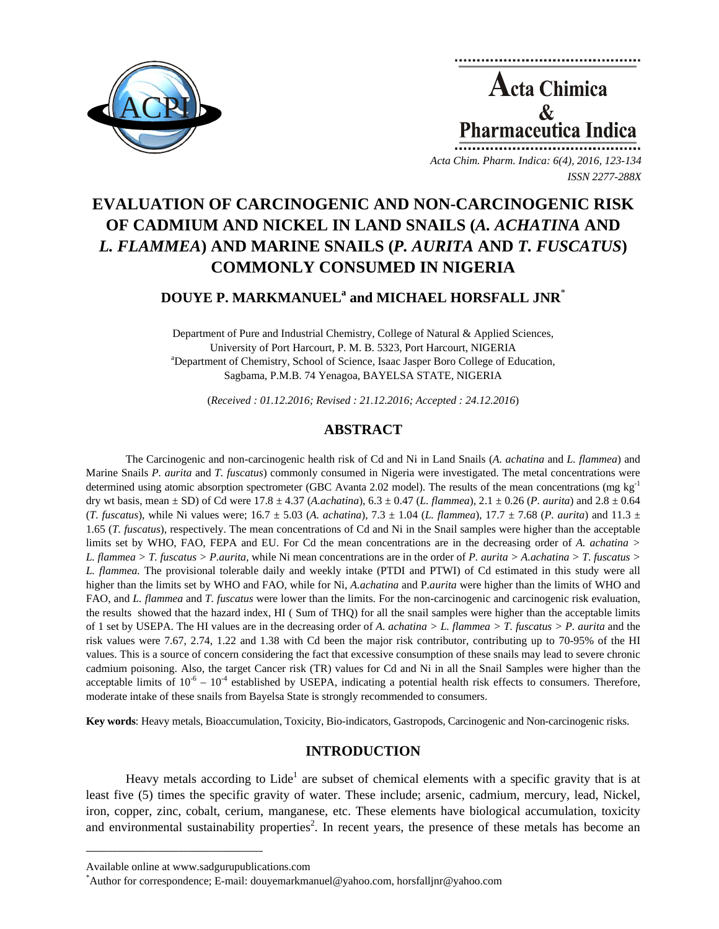

**Acta Chimica**  $\mathbf{\&}$ **Pharmaceutica Indica** 

*Acta Chim. Pharm. Indica: 6(4), 2016, 123-134 ISSN 2277-288X*

# **EVALUATION OF CARCINOGENIC AND NON-CARCINOGENIC RISK OF CADMIUM AND NICKEL IN LAND SNAILS (***A. ACHATINA* **AND**  *L. FLAMMEA***) AND MARINE SNAILS (***P. AURITA* **AND** *T. FUSCATUS***) COMMONLY CONSUMED IN NIGERIA**

## $\bf{DOUYE}$   $\bf{P.}$   $\bf{MARKMANUEL}^{\rm a}$  and  $\bf{MICHAEL}$   $\bf{HORSFALL}$   $\bf{JNR}^{\ast}$

Department of Pure and Industrial Chemistry, College of Natural & Applied Sciences, University of Port Harcourt, P. M. B. 5323, Port Harcourt, NIGERIA Department of Chemistry, School of Science, Isaac Jasper Boro College of Education, Sagbama, P.M.B. 74 Yenagoa, BAYELSA STATE, NIGERIA

(*Received : 01.12.2016; Revised : 21.12.2016; Accepted : 24.12.2016*)

## **ABSTRACT**

The Carcinogenic and non-carcinogenic health risk of Cd and Ni in Land Snails (*A. achatina* and *L. flammea*) and Marine Snails *P. aurita* and *T. fuscatus*) commonly consumed in Nigeria were investigated. The metal concentrations were determined using atomic absorption spectrometer (GBC Avanta 2.02 model). The results of the mean concentrations (mg kg<sup>-1</sup>) dry wt basis, mean ± SD) of Cd were 17.8 ± 4.37 (*A.achatina*), 6.3 ± 0.47 (*L. flammea*), 2.1 ± 0.26 (*P. aurita*) and 2.8 ± 0.64 (*T. fuscatus*), while Ni values were;  $16.7 \pm 5.03$  (*A. achatina*),  $7.3 \pm 1.04$  (*L. flammea*),  $17.7 \pm 7.68$  (*P. aurita*) and  $11.3 \pm 7.68$ 1.65 (*T. fuscatus*), respectively. The mean concentrations of Cd and Ni in the Snail samples were higher than the acceptable limits set by WHO, FAO, FEPA and EU. For Cd the mean concentrations are in the decreasing order of *A. achatina > L. flammea > T. fuscatus > P.aurita,* while Ni mean concentrations are in the order of *P. aurita > A.achatina > T. fuscatus > L. flammea.* The provisional tolerable daily and weekly intake (PTDI and PTWI) of Cd estimated in this study were all higher than the limits set by WHO and FAO, while for Ni, *A.achatina* and P*.aurita* were higher than the limits of WHO and FAO, and *L. flammea* and *T. fuscatus* were lower than the limits. For the non-carcinogenic and carcinogenic risk evaluation, the results showed that the hazard index, HI ( Sum of THQ) for all the snail samples were higher than the acceptable limits of 1 set by USEPA. The HI values are in the decreasing order of A. *achatina* > L. flammea > T. fuscatus > P. aurita and the risk values were 7.67, 2.74, 1.22 and 1.38 with Cd been the major risk contributor, contributing up to 70-95% of the HI values. This is a source of concern considering the fact that excessive consumption of these snails may lead to severe chronic cadmium poisoning. Also, the target Cancer risk (TR) values for Cd and Ni in all the Snail Samples were higher than the acceptable limits of  $10^{-6} - 10^{-4}$  established by USEPA, indicating a potential health risk effects to consumers. Therefore, moderate intake of these snails from Bayelsa State is strongly recommended to consumers.

**Key words**: Heavy metals, Bioaccumulation, Toxicity, Bio-indicators, Gastropods, Carcinogenic and Non-carcinogenic risks.

## **INTRODUCTION**

Heavy metals according to Lide<sup>1</sup> are subset of chemical elements with a specific gravity that is at least five (5) times the specific gravity of water. These include; arsenic, cadmium, mercury, lead, Nickel, iron, copper, zinc, cobalt, cerium, manganese, etc. These elements have biological accumulation, toxicity and environmental sustainability properties<sup>2</sup>. In recent years, the presence of these metals has become an

**\_\_\_\_\_\_\_\_\_\_\_\_\_\_\_\_\_\_\_\_\_\_\_\_\_\_\_\_\_\_\_\_\_\_\_\_\_\_\_\_**

Available online at www.sadgurupublications.com \*

Author for correspondence; E-mail: douyemarkmanuel@yahoo.com, horsfalljnr@yahoo.com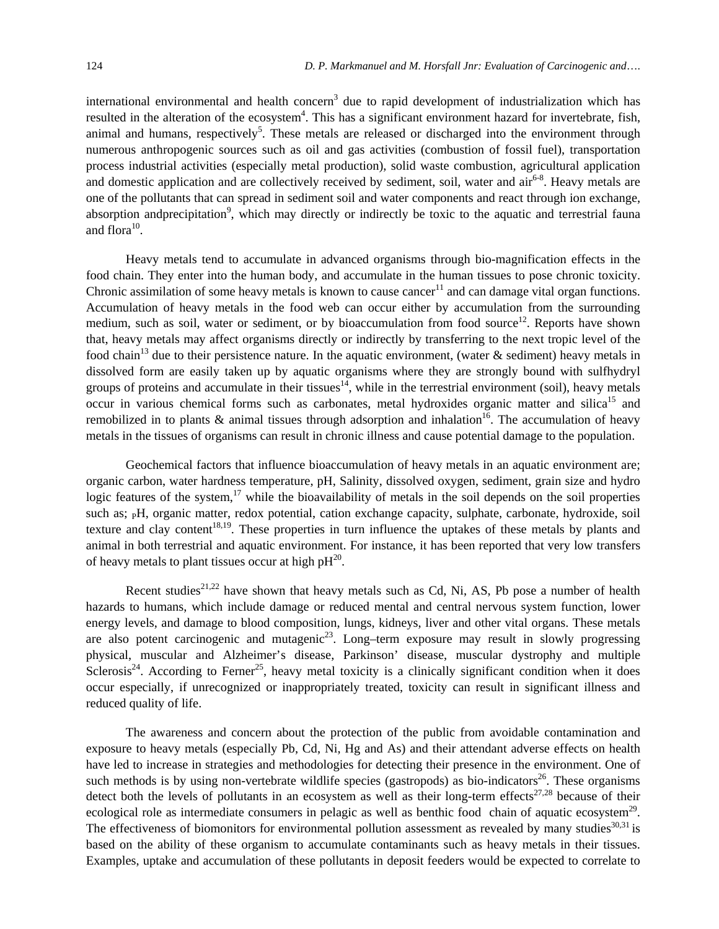international environmental and health concern<sup>3</sup> due to rapid development of industrialization which has resulted in the alteration of the ecosystem<sup>4</sup>. This has a significant environment hazard for invertebrate, fish, animal and humans, respectively<sup>5</sup>. These metals are released or discharged into the environment through numerous anthropogenic sources such as oil and gas activities (combustion of fossil fuel), transportation process industrial activities (especially metal production), solid waste combustion, agricultural application and domestic application and are collectively received by sediment, soil, water and  $\arcsin^{6-8}$ . Heavy metals are one of the pollutants that can spread in sediment soil and water components and react through ion exchange, absorption andprecipitation<sup>9</sup>, which may directly or indirectly be toxic to the aquatic and terrestrial fauna and flora $10$ .

Heavy metals tend to accumulate in advanced organisms through bio-magnification effects in the food chain. They enter into the human body, and accumulate in the human tissues to pose chronic toxicity. Chronic assimilation of some heavy metals is known to cause cancer<sup>11</sup> and can damage vital organ functions. Accumulation of heavy metals in the food web can occur either by accumulation from the surrounding medium, such as soil, water or sediment, or by bioaccumulation from food source<sup>12</sup>. Reports have shown that, heavy metals may affect organisms directly or indirectly by transferring to the next tropic level of the food chain<sup>13</sup> due to their persistence nature. In the aquatic environment, (water & sediment) heavy metals in dissolved form are easily taken up by aquatic organisms where they are strongly bound with sulfhydryl groups of proteins and accumulate in their tissues<sup>14</sup>, while in the terrestrial environment (soil), heavy metals occur in various chemical forms such as carbonates, metal hydroxides organic matter and silica<sup>15</sup> and remobilized in to plants  $\&$  animal tissues through adsorption and inhalation<sup>16</sup>. The accumulation of heavy metals in the tissues of organisms can result in chronic illness and cause potential damage to the population.

Geochemical factors that influence bioaccumulation of heavy metals in an aquatic environment are; organic carbon, water hardness temperature, pH, Salinity, dissolved oxygen, sediment, grain size and hydro logic features of the system,<sup>17</sup> while the bioavailability of metals in the soil depends on the soil properties such as; <sub>P</sub>H, organic matter, redox potential, cation exchange capacity, sulphate, carbonate, hydroxide, soil texture and clay content<sup>18,19</sup>. These properties in turn influence the uptakes of these metals by plants and animal in both terrestrial and aquatic environment. For instance, it has been reported that very low transfers of heavy metals to plant tissues occur at high  $pH^{20}$ .

Recent studies<sup>21,22</sup> have shown that heavy metals such as Cd, Ni, AS, Pb pose a number of health hazards to humans, which include damage or reduced mental and central nervous system function, lower energy levels, and damage to blood composition, lungs, kidneys, liver and other vital organs. These metals are also potent carcinogenic and mutagenic<sup>23</sup>. Long–term exposure may result in slowly progressing physical, muscular and Alzheimer's disease, Parkinson' disease, muscular dystrophy and multiple Sclerosis<sup>24</sup>. According to Ferner<sup>25</sup>, heavy metal toxicity is a clinically significant condition when it does occur especially, if unrecognized or inappropriately treated, toxicity can result in significant illness and reduced quality of life.

The awareness and concern about the protection of the public from avoidable contamination and exposure to heavy metals (especially Pb, Cd, Ni, Hg and As) and their attendant adverse effects on health have led to increase in strategies and methodologies for detecting their presence in the environment. One of such methods is by using non-vertebrate wildlife species (gastropods) as bio-indicators<sup>26</sup>. These organisms detect both the levels of pollutants in an ecosystem as well as their long-term effects<sup>27,28</sup> because of their ecological role as intermediate consumers in pelagic as well as benthic food chain of aquatic ecosystem<sup>29</sup>. The effectiveness of biomonitors for environmental pollution assessment as revealed by many studies<sup>30,31</sup> is based on the ability of these organism to accumulate contaminants such as heavy metals in their tissues. Examples, uptake and accumulation of these pollutants in deposit feeders would be expected to correlate to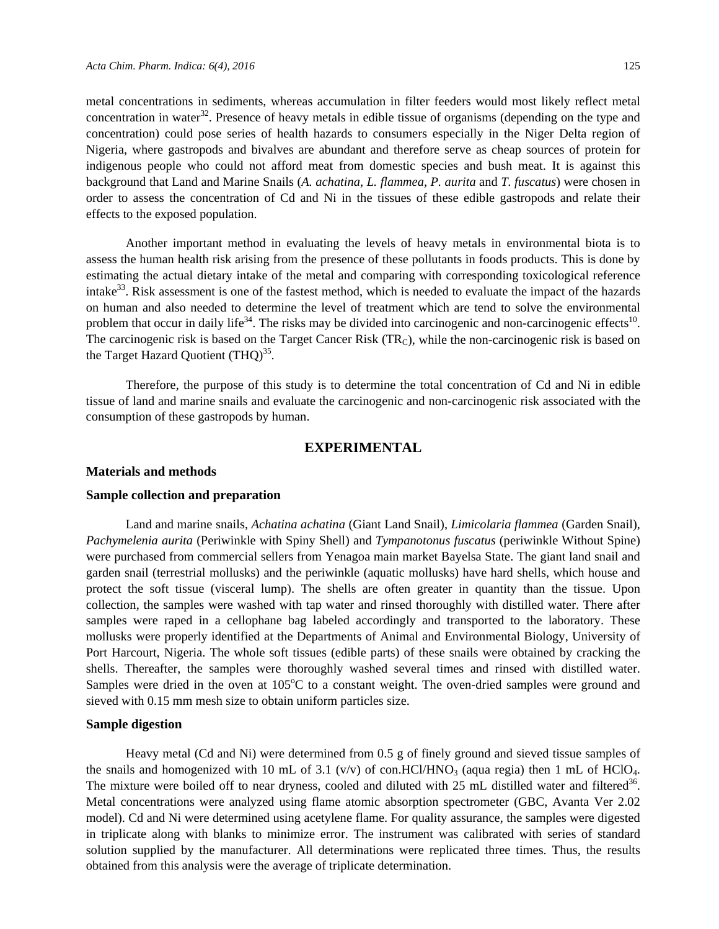metal concentrations in sediments, whereas accumulation in filter feeders would most likely reflect metal concentration in water<sup>32</sup>. Presence of heavy metals in edible tissue of organisms (depending on the type and concentration) could pose series of health hazards to consumers especially in the Niger Delta region of Nigeria, where gastropods and bivalves are abundant and therefore serve as cheap sources of protein for indigenous people who could not afford meat from domestic species and bush meat. It is against this background that Land and Marine Snails (*A. achatina, L. flammea, P. aurita* and *T. fuscatus*) were chosen in order to assess the concentration of Cd and Ni in the tissues of these edible gastropods and relate their effects to the exposed population.

Another important method in evaluating the levels of heavy metals in environmental biota is to assess the human health risk arising from the presence of these pollutants in foods products. This is done by estimating the actual dietary intake of the metal and comparing with corresponding toxicological reference intake<sup>33</sup>. Risk assessment is one of the fastest method, which is needed to evaluate the impact of the hazards on human and also needed to determine the level of treatment which are tend to solve the environmental problem that occur in daily life<sup>34</sup>. The risks may be divided into carcinogenic and non-carcinogenic effects<sup>10</sup>. The carcinogenic risk is based on the Target Cancer Risk  $(TR_C)$ , while the non-carcinogenic risk is based on the Target Hazard Quotient  $(THQ)^{35}$ .

Therefore, the purpose of this study is to determine the total concentration of Cd and Ni in edible tissue of land and marine snails and evaluate the carcinogenic and non-carcinogenic risk associated with the consumption of these gastropods by human.

## **EXPERIMENTAL**

## **Materials and methods**

#### **Sample collection and preparation**

Land and marine snails, *Achatina achatina* (Giant Land Snail), *Limicolaria flammea* (Garden Snail), *Pachymelenia aurita* (Periwinkle with Spiny Shell) and *Tympanotonus fuscatus* (periwinkle Without Spine) were purchased from commercial sellers from Yenagoa main market Bayelsa State. The giant land snail and garden snail (terrestrial mollusks) and the periwinkle (aquatic mollusks) have hard shells, which house and protect the soft tissue (visceral lump). The shells are often greater in quantity than the tissue. Upon collection, the samples were washed with tap water and rinsed thoroughly with distilled water. There after samples were raped in a cellophane bag labeled accordingly and transported to the laboratory. These mollusks were properly identified at the Departments of Animal and Environmental Biology, University of Port Harcourt, Nigeria. The whole soft tissues (edible parts) of these snails were obtained by cracking the shells. Thereafter, the samples were thoroughly washed several times and rinsed with distilled water. Samples were dried in the oven at 105°C to a constant weight. The oven-dried samples were ground and sieved with 0.15 mm mesh size to obtain uniform particles size.

#### **Sample digestion**

Heavy metal (Cd and Ni) were determined from 0.5 g of finely ground and sieved tissue samples of the snails and homogenized with 10 mL of 3.1 (v/v) of con.HCl/HNO<sub>3</sub> (aqua regia) then 1 mL of HClO<sub>4</sub>. The mixture were boiled off to near dryness, cooled and diluted with 25 mL distilled water and filtered<sup>36</sup>. Metal concentrations were analyzed using flame atomic absorption spectrometer (GBC, Avanta Ver 2.02 model). Cd and Ni were determined using acetylene flame. For quality assurance, the samples were digested in triplicate along with blanks to minimize error. The instrument was calibrated with series of standard solution supplied by the manufacturer. All determinations were replicated three times. Thus, the results obtained from this analysis were the average of triplicate determination.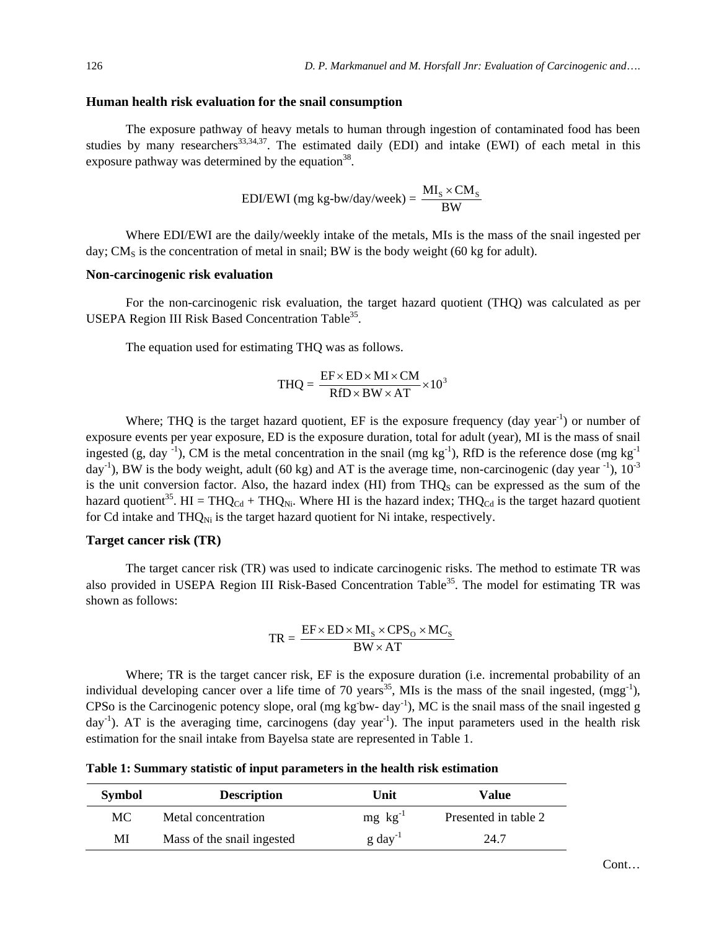#### **Human health risk evaluation for the snail consumption**

The exposure pathway of heavy metals to human through ingestion of contaminated food has been studies by many researchers<sup>33,34,37</sup>. The estimated daily (EDI) and intake (EWI) of each metal in this exposure pathway was determined by the equation<sup>38</sup>.

EDI/EWI (mg kg-bw/day/week) = 
$$
\frac{MI_s \times CM_s}{BW}
$$

Where EDI/EWI are the daily/weekly intake of the metals, MIs is the mass of the snail ingested per day; CM<sub>S</sub> is the concentration of metal in snail; BW is the body weight (60 kg for adult).

### **Non-carcinogenic risk evaluation**

For the non-carcinogenic risk evaluation, the target hazard quotient (THQ) was calculated as per USEPA Region III Risk Based Concentration Table<sup>35</sup>.

The equation used for estimating THQ was as follows.

$$
THQ = \frac{EF \times ED \times MI \times CM}{RfD \times BW \times AT} \times 10^3
$$

Where; THQ is the target hazard quotient, EF is the exposure frequency  $(day \, year^{-1})$  or number of exposure events per year exposure, ED is the exposure duration, total for adult (year), MI is the mass of snail ingested (g, day  $^{-1}$ ), CM is the metal concentration in the snail (mg kg<sup>-1</sup>), RfD is the reference dose (mg kg<sup>-1</sup>)  $day^{-1}$ ), BW is the body weight, adult (60 kg) and AT is the average time, non-carcinogenic (day year  $^{-1}$ ),  $10^{-3}$ is the unit conversion factor. Also, the hazard index  $(HI)$  from THQ<sub>s</sub> can be expressed as the sum of the hazard quotient<sup>35</sup>. HI = THQ<sub>Cd</sub> + THQ<sub>Ni</sub>. Where HI is the hazard index; THQ<sub>Cd</sub> is the target hazard quotient for Cd intake and  $THQ_{Ni}$  is the target hazard quotient for Ni intake, respectively.

### **Target cancer risk (TR)**

The target cancer risk (TR) was used to indicate carcinogenic risks. The method to estimate TR was also provided in USEPA Region III Risk-Based Concentration Table<sup>35</sup>. The model for estimating TR was shown as follows:

$$
TR = \frac{EF \times ED \times MI_{S} \times CPS_{O} \times MC_{S}}{BW \times AT}
$$

Where; TR is the target cancer risk, EF is the exposure duration (i.e. incremental probability of an individual developing cancer over a life time of 70 years<sup>35</sup>. MIs is the mass of the snail ingested,  $(mgg^{-1})$ , CPSo is the Carcinogenic potency slope, oral (mg kg<sup>-bw-day<sup>-1</sup>), MC is the snail mass of the snail ingested g</sup>  $day^{-1}$ ). AT is the averaging time, carcinogens (day year<sup>-1</sup>). The input parameters used in the health risk estimation for the snail intake from Bayelsa state are represented in Table 1.

**Table 1: Summary statistic of input parameters in the health risk estimation** 

| <b>Symbol</b> | <b>Description</b>         | Unit                 | Value                |
|---------------|----------------------------|----------------------|----------------------|
| МC            | Metal concentration        | $mg \, kg^{-1}$      | Presented in table 2 |
| MI            | Mass of the snail ingested | $g \text{ day}^{-1}$ | 24.7                 |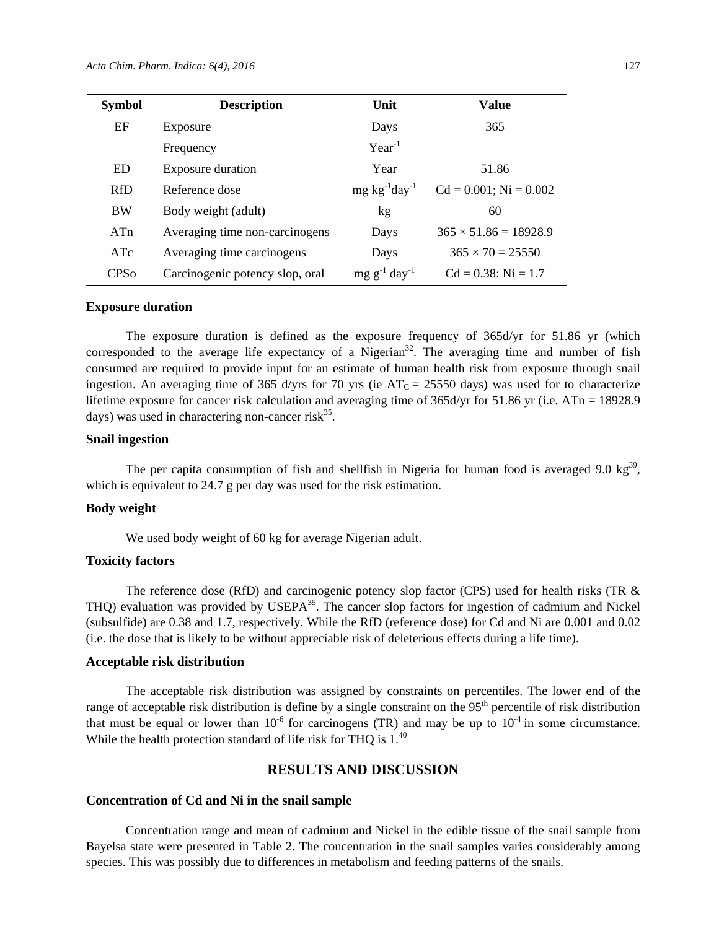| <b>Symbol</b>          | <b>Description</b>              | Unit                    | <b>Value</b>                 |
|------------------------|---------------------------------|-------------------------|------------------------------|
| EF                     | Exposure                        | Days                    | 365                          |
|                        | Frequency                       | $Year^{-1}$             |                              |
| ED                     | Exposure duration               | Year                    | 51.86                        |
| <b>RfD</b>             | Reference dose                  | $mg \, kg^{-1}day^{-1}$ | $Cd = 0.001$ ; Ni = 0.002    |
| <b>BW</b>              | Body weight (adult)             | kg                      | 60                           |
| ATn                    | Averaging time non-carcinogens  | Days                    | $365 \times 51.86 = 18928.9$ |
| ATc                    | Averaging time carcinogens      | Days                    | $365 \times 70 = 25550$      |
| <b>CPS<sub>o</sub></b> | Carcinogenic potency slop, oral | $mg g^{-1} day^{-1}$    | $Cd = 0.38$ : Ni = 1.7       |

#### **Exposure duration**

The exposure duration is defined as the exposure frequency of 365d/yr for 51.86 yr (which corresponded to the average life expectancy of a Nigerian<sup>32</sup>. The averaging time and number of fish consumed are required to provide input for an estimate of human health risk from exposure through snail ingestion. An averaging time of 365 d/yrs for 70 yrs (ie  $AT_C = 25550$  days) was used for to characterize lifetime exposure for cancer risk calculation and averaging time of 365d/yr for 51.86 yr (i.e. ATn = 18928.9) days) was used in charactering non-cancer risk $^{35}$ .

#### **Snail ingestion**

The per capita consumption of fish and shellfish in Nigeria for human food is averaged 9.0 kg<sup>39</sup>, which is equivalent to 24.7 g per day was used for the risk estimation.

### **Body weight**

We used body weight of 60 kg for average Nigerian adult.

## **Toxicity factors**

The reference dose (RfD) and carcinogenic potency slop factor (CPS) used for health risks (TR & THQ) evaluation was provided by USEPA $35$ . The cancer slop factors for ingestion of cadmium and Nickel (subsulfide) are 0.38 and 1.7, respectively. While the RfD (reference dose) for Cd and Ni are 0.001 and 0.02 (i.e. the dose that is likely to be without appreciable risk of deleterious effects during a life time).

## **Acceptable risk distribution**

The acceptable risk distribution was assigned by constraints on percentiles. The lower end of the range of acceptable risk distribution is define by a single constraint on the  $95<sup>th</sup>$  percentile of risk distribution that must be equal or lower than  $10^{-6}$  for carcinogens (TR) and may be up to  $10^{-4}$  in some circumstance. While the health protection standard of life risk for THO is  $1<sup>40</sup>$ 

## **RESULTS AND DISCUSSION**

## **Concentration of Cd and Ni in the snail sample**

Concentration range and mean of cadmium and Nickel in the edible tissue of the snail sample from Bayelsa state were presented in Table 2. The concentration in the snail samples varies considerably among species. This was possibly due to differences in metabolism and feeding patterns of the snails.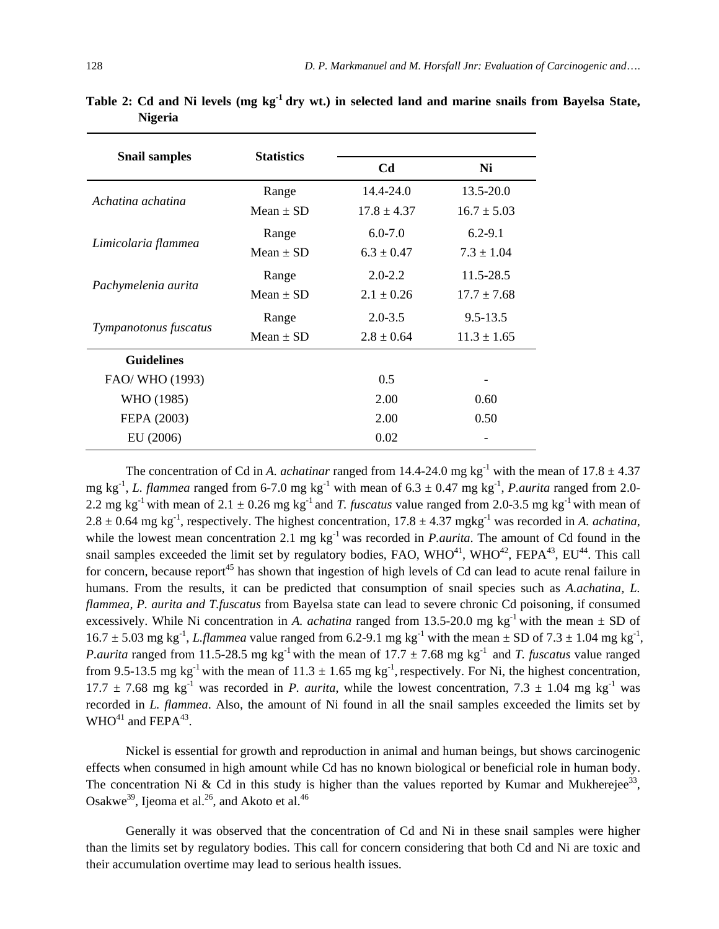| <b>Snail samples</b>  | <b>Statistics</b> |                 |                 |  |
|-----------------------|-------------------|-----------------|-----------------|--|
|                       |                   | C <sub>d</sub>  | Ni              |  |
| Achatina achatina     | Range             | $14.4 - 24.0$   | 13.5-20.0       |  |
|                       | Mean $\pm$ SD     | $17.8 \pm 4.37$ | $16.7 \pm 5.03$ |  |
|                       | Range             | $6.0 - 7.0$     | $6.2 - 9.1$     |  |
| Limicolaria flammea   | Mean $\pm$ SD     | $6.3 \pm 0.47$  | $7.3 \pm 1.04$  |  |
|                       | Range             | $2.0 - 2.2$     | 11.5-28.5       |  |
| Pachymelenia aurita   | Mean $\pm$ SD     | $2.1 \pm 0.26$  | $17.7 \pm 7.68$ |  |
|                       | Range             | $2.0 - 3.5$     | $9.5 - 13.5$    |  |
| Tympanotonus fuscatus | Mean $\pm$ SD     | $2.8 \pm 0.64$  | $11.3 \pm 1.65$ |  |
| <b>Guidelines</b>     |                   |                 |                 |  |
| FAO/ WHO (1993)       |                   | 0.5             |                 |  |
| WHO (1985)            |                   | 2.00            | 0.60            |  |
| FEPA (2003)           |                   | 2.00            | 0.50            |  |
| EU (2006)             |                   | 0.02            |                 |  |

**Table 2: Cd and Ni levels (mg kg-1 dry wt.) in selected land and marine snails from Bayelsa State, Nigeria** 

The concentration of Cd in *A. achatinar* ranged from 14.4-24.0 mg kg<sup>-1</sup> with the mean of  $17.8 \pm 4.37$ mg kg<sup>-1</sup>, *L. flammea* ranged from 6-7.0 mg kg<sup>-1</sup> with mean of 6.3  $\pm$  0.47 mg kg<sup>-1</sup>, *P. aurita* ranged from 2.0-2.2 mg kg<sup>-1</sup> with mean of 2.1  $\pm$  0.26 mg kg<sup>-1</sup> and *T. fuscatus* value ranged from 2.0-3.5 mg kg<sup>-1</sup> with mean of  $2.8 \pm 0.64$  mg kg<sup>-1</sup>, respectively. The highest concentration,  $17.8 \pm 4.37$  mgkg<sup>-1</sup> was recorded in *A. achatina*, while the lowest mean concentration 2.1 mg  $kg^{-1}$  was recorded in *P.aurita*. The amount of Cd found in the snail samples exceeded the limit set by regulatory bodies, FAO,  $WHO^{41}$ ,  $WHO^{42}$ , FEPA<sup>43</sup>, EU<sup>44</sup>. This call for concern, because report<sup>45</sup> has shown that ingestion of high levels of Cd can lead to acute renal failure in humans. From the results, it can be predicted that consumption of snail species such as *A.achatina, L. flammea, P. aurita and T.fuscatus* from Bayelsa state can lead to severe chronic Cd poisoning, if consumed excessively. While Ni concentration in *A. achatina* ranged from 13.5-20.0 mg kg<sup>-1</sup> with the mean  $\pm$  SD of  $16.7 \pm 5.03$  mg kg<sup>-1</sup>, *L.flammea* value ranged from 6.2-9.1 mg kg<sup>-1</sup> with the mean  $\pm$  SD of 7.3  $\pm$  1.04 mg kg<sup>-1</sup>, *P.aurita* ranged from 11.5-28.5 mg kg<sup>-1</sup> with the mean of 17.7  $\pm$  7.68 mg kg<sup>-1</sup> and *T. fuscatus* value ranged from 9.5-13.5 mg kg<sup>-1</sup> with the mean of  $11.3 \pm 1.65$  mg kg<sup>-1</sup>, respectively. For Ni, the highest concentration, 17.7  $\pm$  7.68 mg kg<sup>-1</sup> was recorded in *P. aurita*, while the lowest concentration, 7.3  $\pm$  1.04 mg kg<sup>-1</sup> was recorded in *L. flammea*. Also, the amount of Ni found in all the snail samples exceeded the limits set by  $WHO<sup>41</sup>$  and FEPA<sup>43</sup>.

Nickel is essential for growth and reproduction in animal and human beings, but shows carcinogenic effects when consumed in high amount while Cd has no known biological or beneficial role in human body. The concentration Ni & Cd in this study is higher than the values reported by Kumar and Mukherejee<sup>33</sup>. Osakwe<sup>39</sup>, Ijeoma et al.<sup>26</sup>, and Akoto et al.<sup>46</sup>

Generally it was observed that the concentration of Cd and Ni in these snail samples were higher than the limits set by regulatory bodies. This call for concern considering that both Cd and Ni are toxic and their accumulation overtime may lead to serious health issues.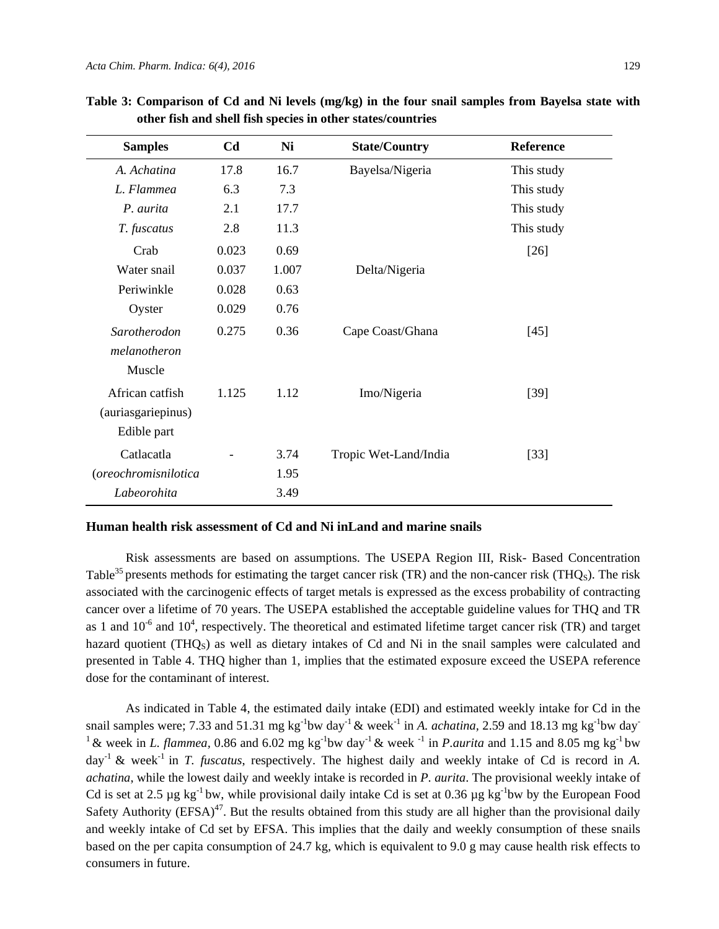| <b>Samples</b>       | C <sub>d</sub>           | Ni    | <b>State/Country</b>  | <b>Reference</b> |
|----------------------|--------------------------|-------|-----------------------|------------------|
| A. Achatina          | 17.8                     | 16.7  | Bayelsa/Nigeria       | This study       |
| L. Flammea           | 6.3                      | 7.3   |                       | This study       |
| P. aurita            | 2.1                      | 17.7  |                       | This study       |
| T. fuscatus          | 2.8                      | 11.3  |                       | This study       |
| Crab                 | 0.023                    | 0.69  |                       | $[26]$           |
| Water snail          | 0.037                    | 1.007 | Delta/Nigeria         |                  |
| Periwinkle           | 0.028                    | 0.63  |                       |                  |
| Oyster               | 0.029                    | 0.76  |                       |                  |
| Sarotherodon         | 0.275                    | 0.36  | Cape Coast/Ghana      | $[45]$           |
| melanotheron         |                          |       |                       |                  |
| Muscle               |                          |       |                       |                  |
| African catfish      | 1.125                    | 1.12  | Imo/Nigeria           | $[39]$           |
| (auriasgariepinus)   |                          |       |                       |                  |
| Edible part          |                          |       |                       |                  |
| Catlacatla           | $\overline{\phantom{a}}$ | 3.74  | Tropic Wet-Land/India | $[33]$           |
| (oreochromisnilotica |                          | 1.95  |                       |                  |
| Labeorohita          |                          | 3.49  |                       |                  |

**Table 3: Comparison of Cd and Ni levels (mg/kg) in the four snail samples from Bayelsa state with other fish and shell fish species in other states/countries** 

#### **Human health risk assessment of Cd and Ni inLand and marine snails**

Risk assessments are based on assumptions. The USEPA Region III, Risk- Based Concentration Table<sup>35</sup> presents methods for estimating the target cancer risk (TR) and the non-cancer risk (THQ<sub>S</sub>). The risk associated with the carcinogenic effects of target metals is expressed as the excess probability of contracting cancer over a lifetime of 70 years. The USEPA established the acceptable guideline values for THQ and TR as 1 and  $10^{-6}$  and  $10^{4}$ , respectively. The theoretical and estimated lifetime target cancer risk (TR) and target hazard quotient (THQ<sub>S</sub>) as well as dietary intakes of Cd and Ni in the snail samples were calculated and presented in Table 4. THQ higher than 1, implies that the estimated exposure exceed the USEPA reference dose for the contaminant of interest.

As indicated in Table 4, the estimated daily intake (EDI) and estimated weekly intake for Cd in the snail samples were; 7.33 and 51.31 mg kg<sup>-1</sup>bw day<sup>-1</sup> & week<sup>-1</sup> in *A. achatina*, 2.59 and 18.13 mg kg<sup>-1</sup>bw day<sup>-1</sup> <sup>1</sup> & week in *L. flammea*, 0.86 and 6.02 mg kg<sup>-1</sup>bw day<sup>-1</sup> & week <sup>-1</sup> in *P. aurita* and 1.15 and 8.05 mg kg<sup>-1</sup> bw day-1 & week-1 in *T. fuscatus*, respectively. The highest daily and weekly intake of Cd is record in *A. achatina*, while the lowest daily and weekly intake is recorded in *P. aurita*. The provisional weekly intake of Cd is set at 2.5  $\mu$ g kg<sup>-1</sup> bw, while provisional daily intake Cd is set at 0.36  $\mu$ g kg<sup>-1</sup>bw by the European Food Safety Authority ( $EFSA$ )<sup>47</sup>. But the results obtained from this study are all higher than the provisional daily and weekly intake of Cd set by EFSA. This implies that the daily and weekly consumption of these snails based on the per capita consumption of 24.7 kg, which is equivalent to 9.0 g may cause health risk effects to consumers in future.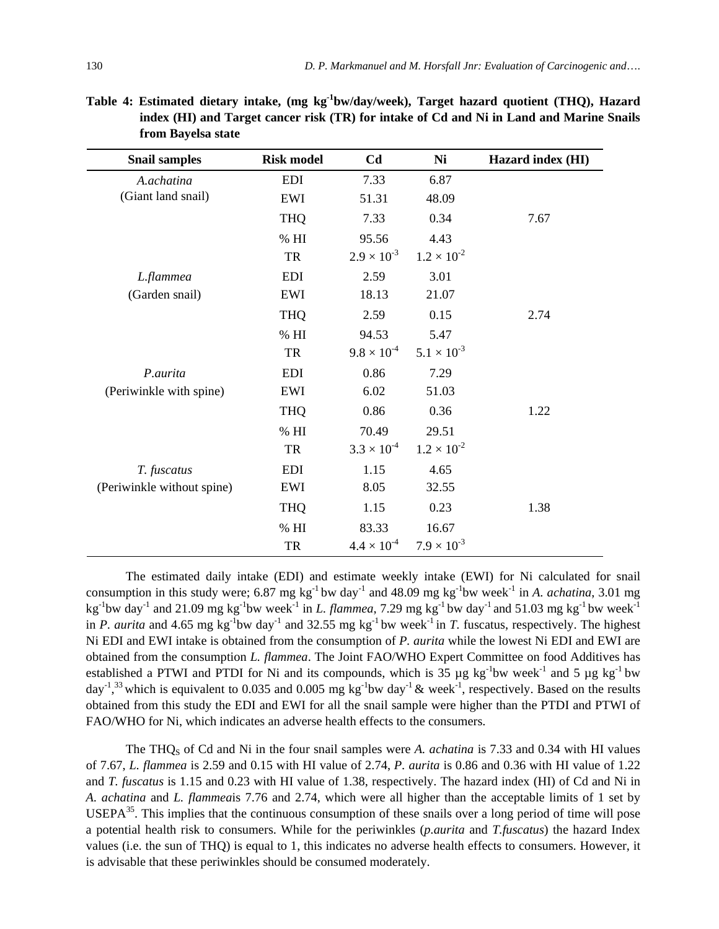| <b>Snail samples</b>       | <b>Risk model</b> | C <sub>d</sub>       | Ni                   | Hazard index (HI) |
|----------------------------|-------------------|----------------------|----------------------|-------------------|
| A.achatina                 | <b>EDI</b>        | 7.33                 | 6.87                 |                   |
| (Giant land snail)         | EWI               | 51.31                | 48.09                |                   |
|                            | <b>THQ</b>        | 7.33                 | 0.34                 | 7.67              |
|                            | % HI              | 95.56                | 4.43                 |                   |
|                            | TR                | $2.9 \times 10^{-3}$ | $1.2 \times 10^{-2}$ |                   |
| L.flammea                  | <b>EDI</b>        | 2.59                 | 3.01                 |                   |
| (Garden snail)             | EWI               | 18.13                | 21.07                |                   |
|                            | <b>THQ</b>        | 2.59                 | 0.15                 | 2.74              |
|                            | % HI              | 94.53                | 5.47                 |                   |
|                            | TR                | $9.8 \times 10^{-4}$ | $5.1 \times 10^{-3}$ |                   |
| P.aurita                   | <b>EDI</b>        | 0.86                 | 7.29                 |                   |
| (Periwinkle with spine)    | EWI               | 6.02                 | 51.03                |                   |
|                            | <b>THQ</b>        | 0.86                 | 0.36                 | 1.22              |
|                            | $\%$ HI           | 70.49                | 29.51                |                   |
|                            | TR                | $3.3 \times 10^{-4}$ | $1.2 \times 10^{-2}$ |                   |
| T. fuscatus                | <b>EDI</b>        | 1.15                 | 4.65                 |                   |
| (Periwinkle without spine) | EWI               | 8.05                 | 32.55                |                   |
|                            | <b>THQ</b>        | 1.15                 | 0.23                 | 1.38              |
|                            | $\%$ HI           | 83.33                | 16.67                |                   |
|                            | TR                | $4.4 \times 10^{-4}$ | $7.9 \times 10^{-3}$ |                   |

**Table 4: Estimated dietary intake, (mg kg-1bw/day/week), Target hazard quotient (THQ), Hazard index (HI) and Target cancer risk (TR) for intake of Cd and Ni in Land and Marine Snails from Bayelsa state** 

The estimated daily intake (EDI) and estimate weekly intake (EWI) for Ni calculated for snail consumption in this study were; 6.87 mg kg<sup>-1</sup> bw day<sup>-1</sup> and 48.09 mg kg<sup>-1</sup> bw week<sup>-1</sup> in *A. achatina*, 3.01 mg kg<sup>-1</sup>bw day<sup>-1</sup> and 21.09 mg kg<sup>-1</sup>bw week<sup>-1</sup> in *L. flammea*, 7.29 mg kg<sup>-1</sup>bw day<sup>-1</sup> and 51.03 mg kg<sup>-1</sup>bw week<sup>-1</sup> in *P. aurita* and 4.65 mg kg<sup>-1</sup>bw day<sup>-1</sup> and 32.55 mg kg<sup>-1</sup>bw week<sup>-1</sup> in *T.* fuscatus, respectively. The highest Ni EDI and EWI intake is obtained from the consumption of *P. aurita* while the lowest Ni EDI and EWI are obtained from the consumption *L. flammea*. The Joint FAO/WHO Expert Committee on food Additives has established a PTWI and PTDI for Ni and its compounds, which is  $35 \mu g$  kg<sup>-1</sup>bw week<sup>-1</sup> and 5  $\mu$ g kg<sup>-1</sup> bw day<sup>-1</sup>,<sup>33</sup> which is equivalent to 0.035 and 0.005 mg kg<sup>-1</sup>bw day<sup>-1</sup> & week<sup>-1</sup>, respectively. Based on the results obtained from this study the EDI and EWI for all the snail sample were higher than the PTDI and PTWI of FAO/WHO for Ni, which indicates an adverse health effects to the consumers.

The THQS of Cd and Ni in the four snail samples were *A. achatina* is 7.33 and 0.34 with HI values of 7.67, *L. flammea* is 2.59 and 0.15 with HI value of 2.74, *P. aurita* is 0.86 and 0.36 with HI value of 1.22 and *T. fuscatus* is 1.15 and 0.23 with HI value of 1.38, respectively. The hazard index (HI) of Cd and Ni in *A. achatina* and *L. flammea*is 7.76 and 2.74, which were all higher than the acceptable limits of 1 set by USEPA<sup>35</sup>. This implies that the continuous consumption of these snails over a long period of time will pose a potential health risk to consumers. While for the periwinkles (*p.aurita* and *T.fuscatus*) the hazard Index values (i.e. the sun of THQ) is equal to 1, this indicates no adverse health effects to consumers. However, it is advisable that these periwinkles should be consumed moderately.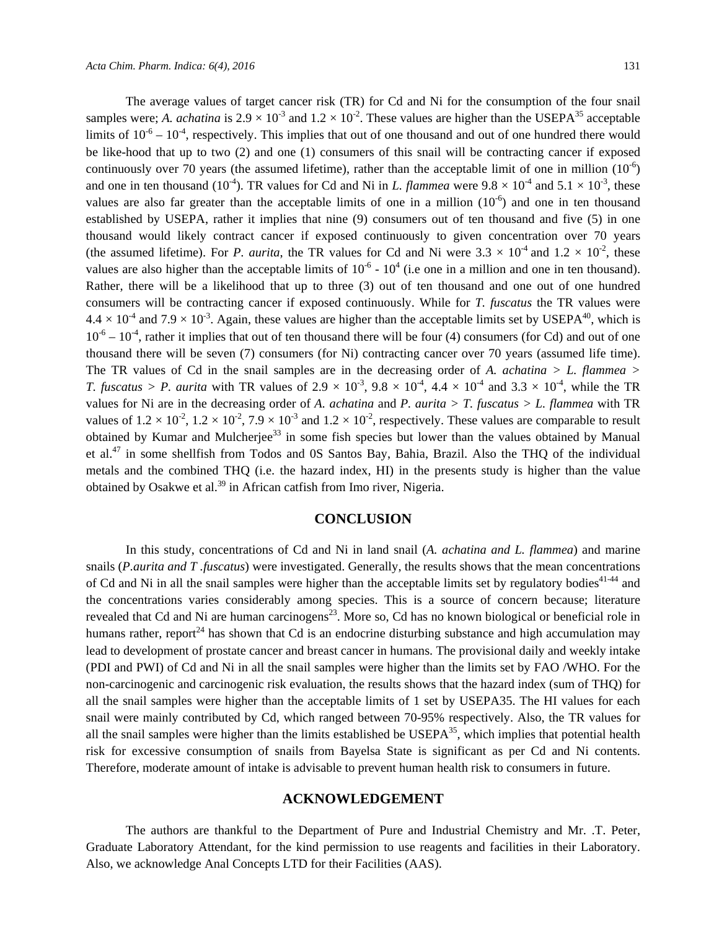The average values of target cancer risk (TR) for Cd and Ni for the consumption of the four snail samples were; *A. achatina* is  $2.9 \times 10^{-3}$  and  $1.2 \times 10^{-2}$ . These values are higher than the USEPA<sup>35</sup> acceptable limits of  $10^{-6} - 10^{-4}$ , respectively. This implies that out of one thousand and out of one hundred there would be like-hood that up to two (2) and one (1) consumers of this snail will be contracting cancer if exposed continuously over 70 years (the assumed lifetime), rather than the acceptable limit of one in million  $(10^{-6})$ and one in ten thousand (10<sup>-4</sup>). TR values for Cd and Ni in *L. flammea* were  $9.8 \times 10^{-4}$  and  $5.1 \times 10^{-3}$ , these values are also far greater than the acceptable limits of one in a million  $(10^{-6})$  and one in ten thousand established by USEPA, rather it implies that nine (9) consumers out of ten thousand and five (5) in one thousand would likely contract cancer if exposed continuously to given concentration over 70 years (the assumed lifetime). For *P. aurita*, the TR values for Cd and Ni were  $3.3 \times 10^{-4}$  and  $1.2 \times 10^{-2}$ , these values are also higher than the acceptable limits of  $10^{-6}$  -  $10^{4}$  (i.e one in a million and one in ten thousand). Rather, there will be a likelihood that up to three (3) out of ten thousand and one out of one hundred consumers will be contracting cancer if exposed continuously. While for *T. fuscatus* the TR values were  $4.4 \times 10^{-4}$  and  $7.9 \times 10^{-3}$ . Again, these values are higher than the acceptable limits set by USEPA<sup>40</sup>, which is  $10^{-6} - 10^{-4}$ , rather it implies that out of ten thousand there will be four (4) consumers (for Cd) and out of one thousand there will be seven (7) consumers (for Ni) contracting cancer over 70 years (assumed life time). The TR values of Cd in the snail samples are in the decreasing order of A. *achatina > L. flammea > T. fuscatus > P. aurita* with TR values of  $2.9 \times 10^{-3}$ ,  $9.8 \times 10^{-4}$ ,  $4.4 \times 10^{-4}$  and  $3.3 \times 10^{-4}$ , while the TR values for Ni are in the decreasing order of *A. achatina* and *P. aurita > T. fuscatus > L. flammea* with TR values of  $1.2 \times 10^{-2}$ ,  $1.2 \times 10^{-2}$ ,  $7.9 \times 10^{-3}$  and  $1.2 \times 10^{-2}$ , respectively. These values are comparable to result obtained by Kumar and Mulcherjee<sup>33</sup> in some fish species but lower than the values obtained by Manual et al.<sup>47</sup> in some shellfish from Todos and 0S Santos Bay, Bahia, Brazil. Also the THQ of the individual metals and the combined THQ (i.e. the hazard index, HI) in the presents study is higher than the value obtained by Osakwe et al.<sup>39</sup> in African catfish from Imo river, Nigeria.

## **CONCLUSION**

In this study, concentrations of Cd and Ni in land snail (*A. achatina and L. flammea*) and marine snails (*P.aurita and T .fuscatus*) were investigated. Generally, the results shows that the mean concentrations of Cd and Ni in all the snail samples were higher than the acceptable limits set by regulatory bodies<sup>41-44</sup> and the concentrations varies considerably among species. This is a source of concern because; literature revealed that Cd and Ni are human carcinogens<sup>23</sup>. More so, Cd has no known biological or beneficial role in humans rather, report<sup>24</sup> has shown that Cd is an endocrine disturbing substance and high accumulation may lead to development of prostate cancer and breast cancer in humans. The provisional daily and weekly intake (PDI and PWI) of Cd and Ni in all the snail samples were higher than the limits set by FAO /WHO. For the non-carcinogenic and carcinogenic risk evaluation, the results shows that the hazard index (sum of THQ) for all the snail samples were higher than the acceptable limits of 1 set by USEPA35. The HI values for each snail were mainly contributed by Cd, which ranged between 70-95% respectively. Also, the TR values for all the snail samples were higher than the limits established be  $\text{USEPA}^{35}$ , which implies that potential health risk for excessive consumption of snails from Bayelsa State is significant as per Cd and Ni contents. Therefore, moderate amount of intake is advisable to prevent human health risk to consumers in future.

## **ACKNOWLEDGEMENT**

The authors are thankful to the Department of Pure and Industrial Chemistry and Mr. .T. Peter, Graduate Laboratory Attendant, for the kind permission to use reagents and facilities in their Laboratory. Also, we acknowledge Anal Concepts LTD for their Facilities (AAS).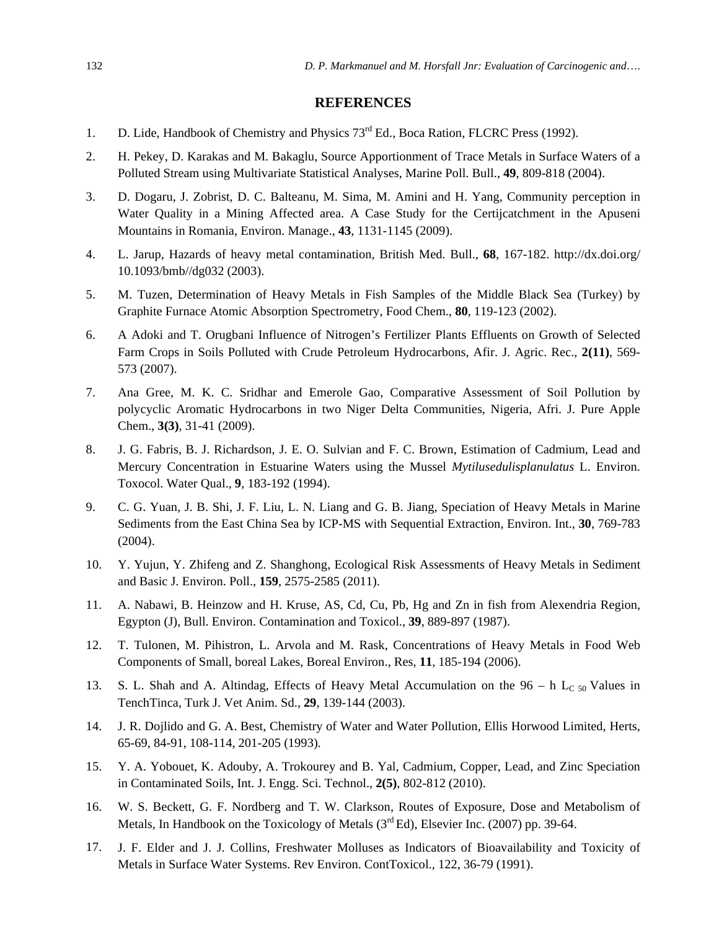## **REFERENCES**

- 1. D. Lide, Handbook of Chemistry and Physics 73<sup>rd</sup> Ed., Boca Ration, FLCRC Press (1992).
- 2. H. Pekey, D. Karakas and M. Bakaglu, Source Apportionment of Trace Metals in Surface Waters of a Polluted Stream using Multivariate Statistical Analyses, Marine Poll. Bull., **49**, 809-818 (2004).
- 3. D. Dogaru, J. Zobrist, D. C. Balteanu, M. Sima, M. Amini and H. Yang, Community perception in Water Quality in a Mining Affected area. A Case Study for the Certijcatchment in the Apuseni Mountains in Romania, Environ. Manage., **43**, 1131-1145 (2009).
- 4. L. Jarup, Hazards of heavy metal contamination, British Med. Bull., **68**, 167-182. http://dx.doi.org/ 10.1093/bmb//dg032 (2003).
- 5. M. Tuzen, Determination of Heavy Metals in Fish Samples of the Middle Black Sea (Turkey) by Graphite Furnace Atomic Absorption Spectrometry, Food Chem., **80**, 119-123 (2002).
- 6. A Adoki and T. Orugbani Influence of Nitrogen's Fertilizer Plants Effluents on Growth of Selected Farm Crops in Soils Polluted with Crude Petroleum Hydrocarbons, Afir. J. Agric. Rec., **2(11)**, 569- 573 (2007).
- 7. Ana Gree, M. K. C. Sridhar and Emerole Gao, Comparative Assessment of Soil Pollution by polycyclic Aromatic Hydrocarbons in two Niger Delta Communities, Nigeria, Afri. J. Pure Apple Chem., **3(3)**, 31-41 (2009).
- 8. J. G. Fabris, B. J. Richardson, J. E. O. Sulvian and F. C. Brown, Estimation of Cadmium, Lead and Mercury Concentration in Estuarine Waters using the Mussel *Mytilusedulisplanulatus* L. Environ. Toxocol. Water Qual., **9**, 183-192 (1994).
- 9. C. G. Yuan, J. B. Shi, J. F. Liu, L. N. Liang and G. B. Jiang, Speciation of Heavy Metals in Marine Sediments from the East China Sea by ICP-MS with Sequential Extraction, Environ. Int., **30**, 769-783 (2004).
- 10. Y. Yujun, Y. Zhifeng and Z. Shanghong, Ecological Risk Assessments of Heavy Metals in Sediment and Basic J. Environ. Poll., **159**, 2575-2585 (2011).
- 11. A. Nabawi, B. Heinzow and H. Kruse, AS, Cd, Cu, Pb, Hg and Zn in fish from Alexendria Region, Egypton (J), Bull. Environ. Contamination and Toxicol., **39**, 889-897 (1987).
- 12. T. Tulonen, M. Pihistron, L. Arvola and M. Rask, Concentrations of Heavy Metals in Food Web Components of Small, boreal Lakes, Boreal Environ., Res, **11**, 185-194 (2006).
- 13. S. L. Shah and A. Altindag, Effects of Heavy Metal Accumulation on the  $96 h$  L<sub>C 50</sub> Values in TenchTinca, Turk J. Vet Anim. Sd., **29**, 139-144 (2003).
- 14. J. R. Dojlido and G. A. Best, Chemistry of Water and Water Pollution, Ellis Horwood Limited, Herts, 65-69, 84-91, 108-114, 201-205 (1993).
- 15. Y. A. Yobouet, K. Adouby, A. Trokourey and B. Yal, Cadmium, Copper, Lead, and Zinc Speciation in Contaminated Soils, Int. J. Engg. Sci. Technol., **2(5)**, 802-812 (2010).
- 16. W. S. Beckett, G. F. Nordberg and T. W. Clarkson, Routes of Exposure, Dose and Metabolism of Metals, In Handbook on the Toxicology of Metals  $(3<sup>rd</sup> Ed)$ , Elsevier Inc. (2007) pp. 39-64.
- 17. J. F. Elder and J. J. Collins, Freshwater Molluses as Indicators of Bioavailability and Toxicity of Metals in Surface Water Systems. Rev Environ. ContToxicol., 122, 36-79 (1991).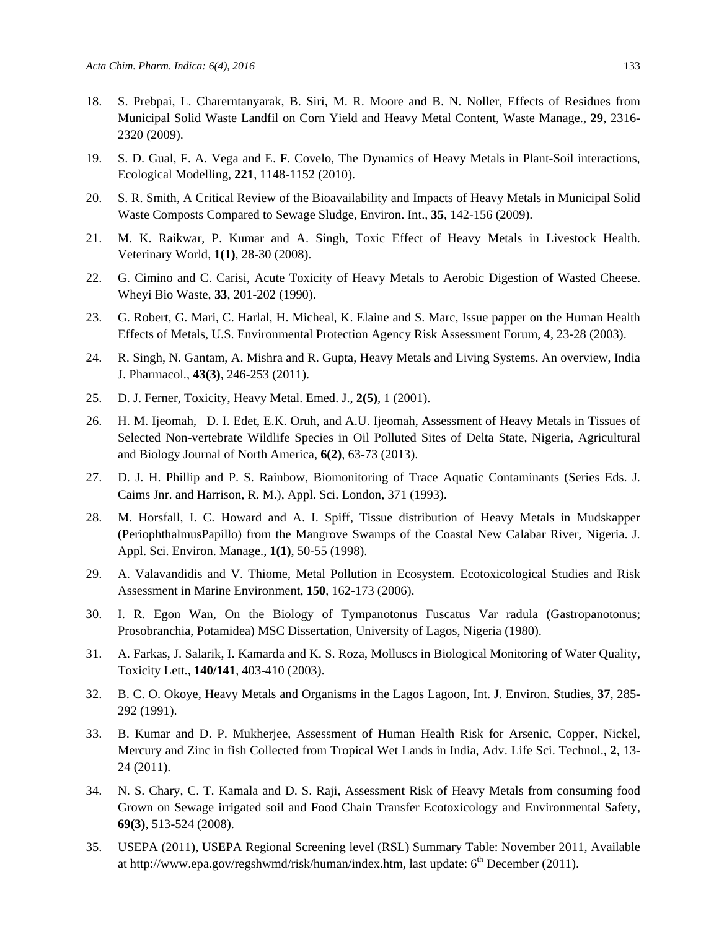- 18. S. Prebpai, L. Charerntanyarak, B. Siri, M. R. Moore and B. N. Noller, Effects of Residues from Municipal Solid Waste Landfil on Corn Yield and Heavy Metal Content, Waste Manage., **29**, 2316- 2320 (2009).
- 19. S. D. Gual, F. A. Vega and E. F. Covelo, The Dynamics of Heavy Metals in Plant-Soil interactions, Ecological Modelling, **221**, 1148-1152 (2010).
- 20. S. R. Smith, A Critical Review of the Bioavailability and Impacts of Heavy Metals in Municipal Solid Waste Composts Compared to Sewage Sludge, Environ. Int., **35**, 142-156 (2009).
- 21. M. K. Raikwar, P. Kumar and A. Singh, Toxic Effect of Heavy Metals in Livestock Health. Veterinary World, **1(1)**, 28-30 (2008).
- 22. G. Cimino and C. Carisi, Acute Toxicity of Heavy Metals to Aerobic Digestion of Wasted Cheese. Wheyi Bio Waste, **33**, 201-202 (1990).
- 23. G. Robert, G. Mari, C. Harlal, H. Micheal, K. Elaine and S. Marc, Issue papper on the Human Health Effects of Metals, U.S. Environmental Protection Agency Risk Assessment Forum, **4**, 23-28 (2003).
- 24. R. Singh, N. Gantam, A. Mishra and R. Gupta, Heavy Metals and Living Systems. An overview, India J. Pharmacol., **43(3)**, 246-253 (2011).
- 25. D. J. Ferner, Toxicity, Heavy Metal. Emed. J., **2(5)**, 1 (2001).
- 26. H. M. Ijeomah, D. I. Edet, E.K. Oruh, and A.U. Ijeomah, Assessment of Heavy Metals in Tissues of Selected Non-vertebrate Wildlife Species in Oil Polluted Sites of Delta State, Nigeria, Agricultural and Biology Journal of North America, **6(2)**, 63-73 (2013).
- 27. D. J. H. Phillip and P. S. Rainbow, Biomonitoring of Trace Aquatic Contaminants (Series Eds. J. Caims Jnr. and Harrison, R. M.), Appl. Sci. London, 371 (1993).
- 28. M. Horsfall, I. C. Howard and A. I. Spiff, Tissue distribution of Heavy Metals in Mudskapper (PeriophthalmusPapillo) from the Mangrove Swamps of the Coastal New Calabar River, Nigeria. J. Appl. Sci. Environ. Manage., **1(1)**, 50-55 (1998).
- 29. A. Valavandidis and V. Thiome, Metal Pollution in Ecosystem. Ecotoxicological Studies and Risk Assessment in Marine Environment, **150**, 162-173 (2006).
- 30. I. R. Egon Wan, On the Biology of Tympanotonus Fuscatus Var radula (Gastropanotonus; Prosobranchia, Potamidea) MSC Dissertation, University of Lagos, Nigeria (1980).
- 31. A. Farkas, J. Salarik, I. Kamarda and K. S. Roza, Molluscs in Biological Monitoring of Water Quality, Toxicity Lett., **140/141**, 403-410 (2003).
- 32. B. C. O. Okoye, Heavy Metals and Organisms in the Lagos Lagoon, Int. J. Environ. Studies, **37**, 285- 292 (1991).
- 33. B. Kumar and D. P. Mukherjee, Assessment of Human Health Risk for Arsenic, Copper, Nickel, Mercury and Zinc in fish Collected from Tropical Wet Lands in India, Adv. Life Sci. Technol., **2**, 13- 24 (2011).
- 34. N. S. Chary, C. T. Kamala and D. S. Raji, Assessment Risk of Heavy Metals from consuming food Grown on Sewage irrigated soil and Food Chain Transfer Ecotoxicology and Environmental Safety, **69(3)**, 513-524 (2008).
- 35. USEPA (2011), USEPA Regional Screening level (RSL) Summary Table: November 2011, Available at http://www.epa.gov/regshwmd/risk/human/index.htm, last update: 6<sup>th</sup> December (2011).